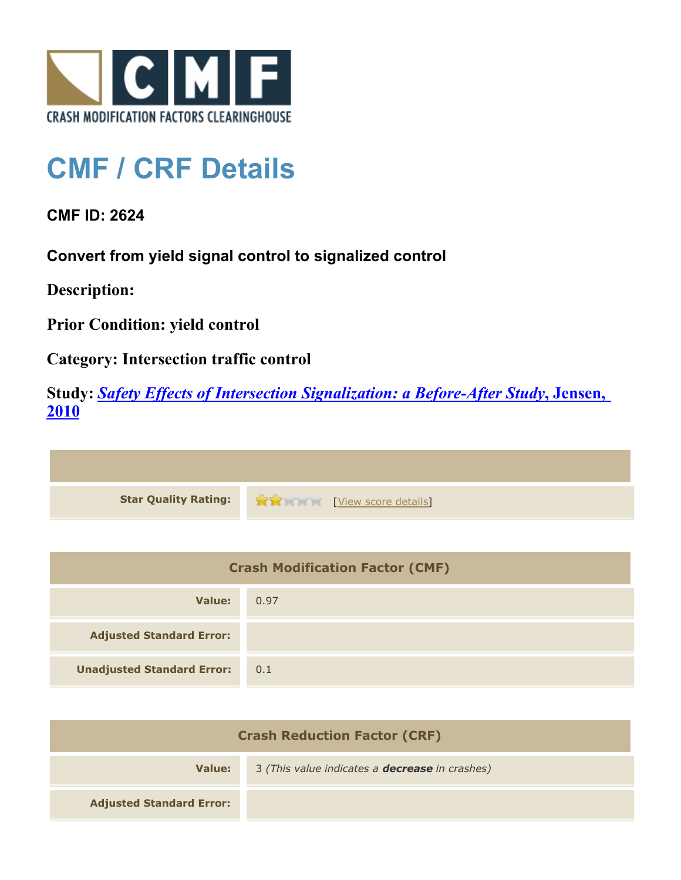

## **CMF / CRF Details**

**CMF ID: 2624**

**Convert from yield signal control to signalized control**

**Description:** 

**Prior Condition: yield control**

**Category: Intersection traffic control**

**Study:** *[Safety Effects of Intersection Signalization: a Before-After Study](http://www.cmfclearinghouse.org/study_detail.cfm?stid=170)***[, Jensen,](http://www.cmfclearinghouse.org/study_detail.cfm?stid=170) [2010](http://www.cmfclearinghouse.org/study_detail.cfm?stid=170)**



| <b>Crash Modification Factor (CMF)</b> |      |
|----------------------------------------|------|
| Value:                                 | 0.97 |
| <b>Adjusted Standard Error:</b>        |      |
| <b>Unadjusted Standard Error:</b>      | 0.1  |

| <b>Crash Reduction Factor (CRF)</b> |                                                       |
|-------------------------------------|-------------------------------------------------------|
| Value:                              | 3 (This value indicates a <b>decrease</b> in crashes) |
| <b>Adjusted Standard Error:</b>     |                                                       |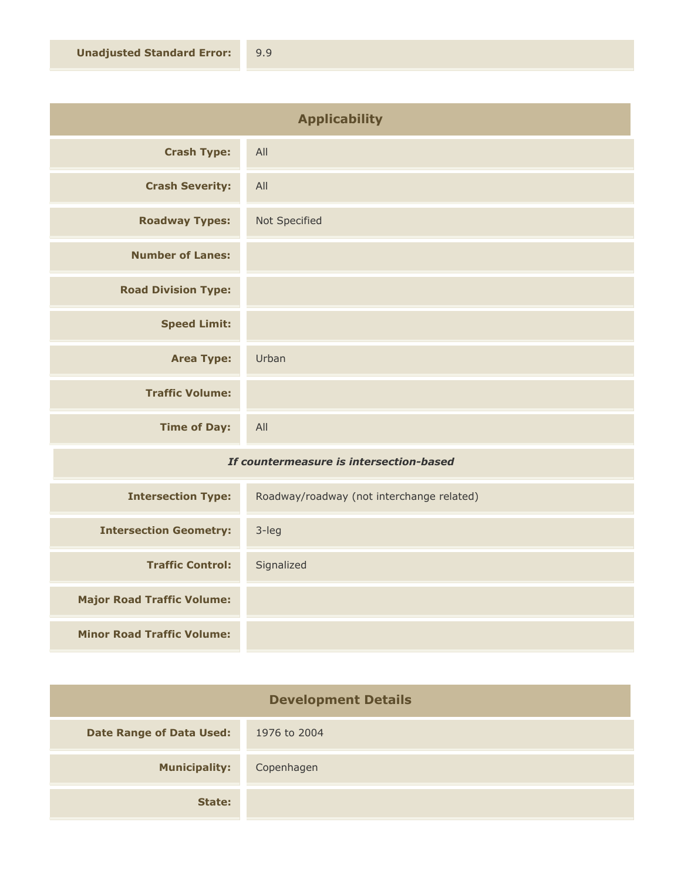| <b>Applicability</b>       |               |
|----------------------------|---------------|
| <b>Crash Type:</b>         | All           |
| <b>Crash Severity:</b>     | All           |
| <b>Roadway Types:</b>      | Not Specified |
| <b>Number of Lanes:</b>    |               |
| <b>Road Division Type:</b> |               |
| <b>Speed Limit:</b>        |               |
| <b>Area Type:</b>          | Urban         |
| <b>Traffic Volume:</b>     |               |
| <b>Time of Day:</b>        | All           |

## *If countermeasure is intersection-based*

| <b>Intersection Type:</b>         | Roadway/roadway (not interchange related) |
|-----------------------------------|-------------------------------------------|
| <b>Intersection Geometry:</b>     | $3$ -leg                                  |
| <b>Traffic Control:</b>           | Signalized                                |
| <b>Major Road Traffic Volume:</b> |                                           |
| <b>Minor Road Traffic Volume:</b> |                                           |

| <b>Development Details</b>      |              |
|---------------------------------|--------------|
| <b>Date Range of Data Used:</b> | 1976 to 2004 |
| <b>Municipality:</b>            | Copenhagen   |
| State:                          |              |